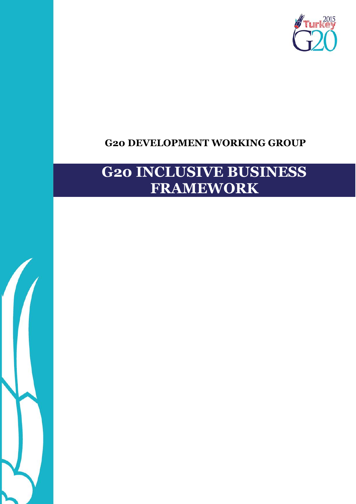

# **G20 DEVELOPMENT WORKING GROUP**

# **G20 INCLUSIVE BUSINESS FRAMEWORK**

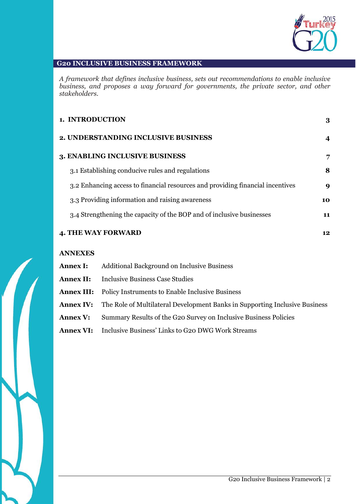

#### **G20 INCLUSIVE BUSINESS FRAMEWORK**

*A framework that defines inclusive business, sets out recommendations to enable inclusive business, and proposes a way forward for governments, the private sector, and other stakeholders.*

| 1. INTRODUCTION                                                                |    |
|--------------------------------------------------------------------------------|----|
| 2. UNDERSTANDING INCLUSIVE BUSINESS                                            | 4  |
| <b>3. ENABLING INCLUSIVE BUSINESS</b>                                          | 7  |
| 3.1 Establishing conducive rules and regulations                               | 8  |
| 3.2 Enhancing access to financial resources and providing financial incentives | 9  |
| 3.3 Providing information and raising awareness                                | 10 |
| 3.4 Strengthening the capacity of the BOP and of inclusive businesses          | 11 |
| <b>4. THE WAY FORWARD</b>                                                      | 12 |

#### **ANNEXES**

| <b>Annex I:</b> | <b>Additional Background on Inclusive Business</b>                                           |  |
|-----------------|----------------------------------------------------------------------------------------------|--|
|                 | <b>Annex II:</b> Inclusive Business Case Studies                                             |  |
|                 | <b>Annex III:</b> Policy Instruments to Enable Inclusive Business                            |  |
|                 | <b>Annex IV:</b> The Role of Multilateral Development Banks in Supporting Inclusive Business |  |
| <b>Annex V:</b> | Summary Results of the G20 Survey on Inclusive Business Policies                             |  |
|                 | <b>Annex VI:</b> Inclusive Business' Links to G20 DWG Work Streams                           |  |

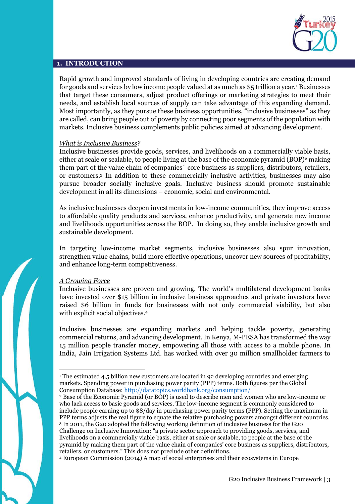

#### **1. INTRODUCTION**

Rapid growth and improved standards of living in developing countries are creating demand for goods and services by low income people valued at as much as \$5 trillion a year.<sup>1</sup> Businesses that target these consumers, adjust product offerings or marketing strategies to meet their needs, and establish local sources of supply can take advantage of this expanding demand. Most importantly, as they pursue these business opportunities, "inclusive businesses" as they are called, can bring people out of poverty by connecting poor segments of the population with markets. Inclusive business complements public policies aimed at advancing development.

#### *What is Inclusive Business?*

Inclusive businesses provide goods, services, and livelihoods on a commercially viable basis, either at scale or scalable, to people living at the base of the economic pyramid (BOP)<sup>2</sup> making them part of the value chain of companies´ core business as suppliers, distributors, retailers, or customers.<sup>3</sup> In addition to these commercially inclusive activities, businesses may also pursue broader socially inclusive goals. Inclusive business should promote sustainable development in all its dimensions – economic, social and environmental.

As inclusive businesses deepen investments in low-income communities, they improve access to affordable quality products and services, enhance productivity, and generate new income and livelihoods opportunities across the BOP. In doing so, they enable inclusive growth and sustainable development.

In targeting low-income market segments, inclusive businesses also spur innovation, strengthen value chains, build more effective operations, uncover new sources of profitability, and enhance long-term competitiveness.

#### *A Growing Force*

 $\overline{a}$ 

Inclusive businesses are proven and growing. The world's multilateral development banks have invested over \$15 billion in inclusive business approaches and private investors have raised \$6 billion in funds for businesses with not only commercial viability, but also with explicit social objectives.<sup>4</sup>

Inclusive businesses are expanding markets and helping tackle poverty, generating commercial returns, and advancing development. In Kenya, M-PESA has transformed the way 15 million people transfer money, empowering all those with access to a mobile phone. In India, Jain Irrigation Systems Ltd. has worked with over 30 million smallholder farmers to

<sup>4</sup> European Commission (2014) A map of social enterprises and their ecosystems in Europe

<sup>&</sup>lt;sup>1</sup> The estimated 4.5 billion new customers are located in 92 developing countries and emerging markets. Spending power in purchasing power parity (PPP) terms. Both figures per the Global Consumption Database:<http://datatopics.worldbank.org/consumption/>

<sup>2</sup> Base of the Economic Pyramid (or BOP) is used to describe men and women who are low-income or who lack access to basic goods and services. The low-income segment is commonly considered to include people earning up to \$8/day in purchasing power parity terms (PPP). Setting the maximum in PPP terms adjusts the real figure to equate the relative purchasing powers amongst different countries. <sup>3</sup> In 2011, the G20 adopted the following working definition of inclusive business for the G20 Challenge on Inclusive Innovation: "a private sector approach to providing goods, services, and livelihoods on a commercially viable basis, either at scale or scalable, to people at the base of the pyramid by making them part of the value chain of companies' core business as suppliers, distributors, retailers, or customers." This does not preclude other definitions.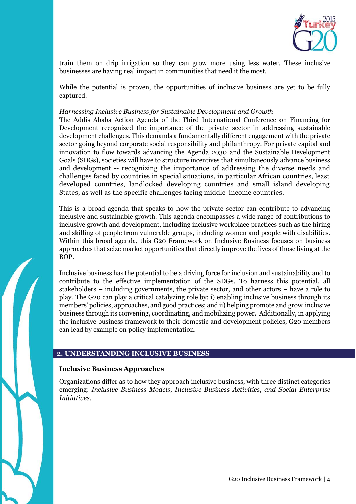

train them on drip irrigation so they can grow more using less water. These inclusive businesses are having real impact in communities that need it the most.

While the potential is proven, the opportunities of inclusive business are yet to be fully captured.

#### *Harnessing Inclusive Business for Sustainable Development and Growth*

The Addis Ababa Action Agenda of the Third International Conference on Financing for Development recognized the importance of the private sector in addressing sustainable development challenges. This demands a fundamentally different engagement with the private sector going beyond corporate social responsibility and philanthropy. For private capital and innovation to flow towards advancing the Agenda 2030 and the Sustainable Development Goals (SDGs), societies will have to structure incentives that simultaneously advance business and development -- recognizing the importance of addressing the diverse needs and challenges faced by countries in special situations, in particular African countries, least developed countries, landlocked developing countries and small island developing States, as well as the specific challenges facing middle-income countries.

This is a broad agenda that speaks to how the private sector can contribute to advancing inclusive and sustainable growth. This agenda encompasses a wide range of contributions to inclusive growth and development, including inclusive workplace practices such as the hiring and skilling of people from vulnerable groups, including women and people with disabilities. Within this broad agenda, this G20 Framework on Inclusive Business focuses on business approaches that seize market opportunities that directly improve the lives of those living at the BOP.

Inclusive business has the potential to be a driving force for inclusion and sustainability and to contribute to the effective implementation of the SDGs. To harness this potential, all stakeholders – including governments, the private sector, and other actors – have a role to play. The G20 can play a critical catalyzing role by: i) enabling inclusive business through its members' policies, approaches, and good practices; and ii) helping promote and grow inclusive business through its convening, coordinating, and mobilizing power. Additionally, in applying the inclusive business framework to their domestic and development policies, G20 members can lead by example on policy implementation.

#### **2. UNDERSTANDING INCLUSIVE BUSINESS**

#### **Inclusive Business Approaches**

Organizations differ as to how they approach inclusive business, with three distinct categories emerging: *Inclusive Business Models*, *Inclusive Business Activities*, *and Social Enterprise Initiatives*.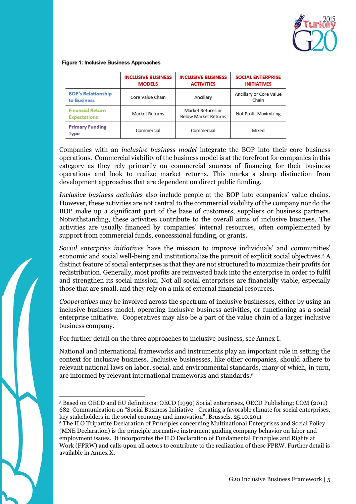

#### Figure 1: Inclusive Business Approaches

|                                                | <b>INCLUSIVE BUSINESS</b><br><b>MODELS</b> | <b>INCLUSIVE BUSINESS</b><br><b>ACTIVITIES</b>   | <b>SOCIAL ENTERPRISE</b><br><b>INITIATIVES</b> |
|------------------------------------------------|--------------------------------------------|--------------------------------------------------|------------------------------------------------|
| <b>BOP's Relationship</b><br>to Business       | Core Value Chain                           | Ancillary                                        | Ancillary or Core Value<br>Chain               |
| <b>Financial Return</b><br><b>Expectations</b> | Market Returns                             | Market Returns or<br><b>Below Market Returns</b> | Not Profit Maximizing                          |
| <b>Primary Funding</b><br>Type                 | Commercial                                 | Commercial                                       | Mixed                                          |

Companies with an *inclusive business model* integrate the BOP into their core business operations. Commercial viability of the business model is at the forefront for companies in this category as they rely primarily on commercial sources of financing for their business operations and look to realize market returns. This marks a sharp distinction from development approaches that are dependent on direct public funding.

*Inclusive business activities* also include people at the BOP into companies' value chains. However, these activities are not central to the commercial viability of the company nor do the BOP make up a significant part of the base of customers, suppliers or business partners. Notwithstanding, these activities contribute to the overall aims of inclusive business. The activities are usually financed by companies' internal resources, often complemented by support from commercial funds, concessional funding, or grants.

*Social enterprise initiatives* have the mission to improve individuals' and communities' economic and social well-being and institutionalize the pursuit of explicit social objectives.<sup>5</sup> A distinct feature of social enterprises is that they are not structured to maximize their profits for redistribution. Generally, most profits are reinvested back into the enterprise in order to fulfil and strengthen its social mission. Not all social enterprises are financially viable, especially those that are small, and they rely on a mix of external financial resources.

*Cooperatives* may be involved across the spectrum of inclusive businesses, either by using an inclusive business model, operating inclusive business activities, or functioning as a social enterprise initiative. Cooperatives may also be a part of the value chain of a larger inclusive business company.

For further detail on the three approaches to inclusive business, see Annex I.

National and international frameworks and instruments play an important role in setting the context for inclusive business. Inclusive businesses, like other companies, should adhere to relevant national laws on labor, social, and environmental standards, many of which, in turn, are informed by relevant international frameworks and standards.<sup>6</sup>

 $\overline{a}$ <sup>5</sup> Based on OECD and EU definitions: OECD (1999) Social enterprises, OECD Publishing; COM (2011) 682 Communication on "Social Business Initiative - Creating a favorable climate for social enterprises, key stakeholders in the social economy and innovation", Brussels, 25.10.2011

<sup>6</sup> The ILO Tripartite Declaration of Principles concerning Multinational Enterprises and Social Policy (MNE Declaration) is the principle normative instrument guiding company behavior on labor and employment issues. It incorporates the ILO Declaration of Fundamental Principles and Rights at Work (FPRW) and calls upon all actors to contribute to the realization of these FPRW. Further detail is available in Annex X.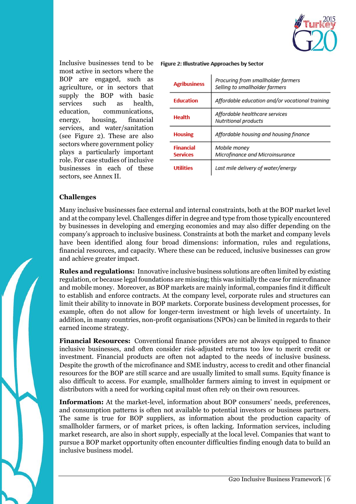

Inclusive businesses tend to be most active in sectors where the BOP are engaged, such as agriculture, or in sectors that supply the BOP with basic services such as health, education, communications, energy, housing, financial services, and water/sanitation (see Figure 2). These are also sectors where government policy plays a particularly important role. For case studies of inclusive businesses in each of these sectors, see Annex II.

#### Figure 2: Illustrative Approaches by Sector

| <b>Agribusiness</b>                 | Procuring from smallholder farmers<br>Selling to smallholder farmers |
|-------------------------------------|----------------------------------------------------------------------|
| <b>Education</b>                    | Affordable education and/or vocational training                      |
| Health                              | Affordable healthcare services<br>Nutritional products               |
| <b>Housing</b>                      | Affordable housing and housing finance                               |
| <b>Financial</b><br><b>Services</b> | Mobile money<br>Microfinance and Microinsurance                      |
| <b>Utilities</b>                    | Last mile delivery of water/energy                                   |

#### **Challenges**

Many inclusive businesses face external and internal constraints, both at the BOP market level and at the company level. Challenges differ in degree and type from those typically encountered by businesses in developing and emerging economies and may also differ depending on the company's approach to inclusive business. Constraints at both the market and company levels have been identified along four broad dimensions: information, rules and regulations, financial resources, and capacity. Where these can be reduced, inclusive businesses can grow and achieve greater impact.

**Rules and regulations:** Innovative inclusive business solutions are often limited by existing regulation, or because legal foundations are missing; this was initially the case for microfinance and mobile money. Moreover, as BOP markets are mainly informal, companies find it difficult to establish and enforce contracts. At the company level, corporate rules and structures can limit their ability to innovate in BOP markets. Corporate business development processes, for example, often do not allow for longer-term investment or high levels of uncertainty. In addition, in many countries, non-profit organisations (NPOs) can be limited in regards to their earned income strategy.

**Financial Resources:** Conventional finance providers are not always equipped to finance inclusive businesses, and often consider risk-adjusted returns too low to merit credit or investment. Financial products are often not adapted to the needs of inclusive business. Despite the growth of the microfinance and SME industry, access to credit and other financial resources for the BOP are still scarce and are usually limited to small sums. Equity finance is also difficult to access. For example, smallholder farmers aiming to invest in equipment or distributors with a need for working capital must often rely on their own resources.

**Information:** At the market-level, information about BOP consumers' needs, preferences, and consumption patterns is often not available to potential investors or business partners. The same is true for BOP suppliers, as information about the production capacity of smallholder farmers, or of market prices, is often lacking. Information services, including market research, are also in short supply, especially at the local level. Companies that want to pursue a BOP market opportunity often encounter difficulties finding enough data to build an inclusive business model.

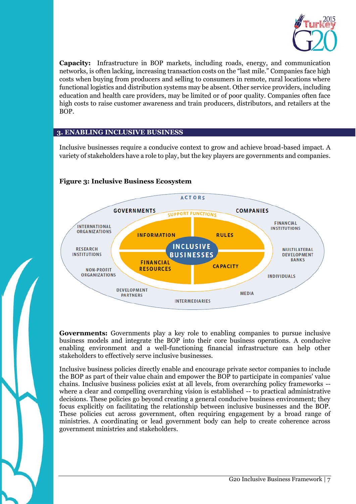

**Capacity:** Infrastructure in BOP markets, including roads, energy, and communication networks, is often lacking, increasing transaction costs on the "last mile." Companies face high costs when buying from producers and selling to consumers in remote, rural locations where functional logistics and distribution systems may be absent. Other service providers, including education and health care providers, may be limited or of poor quality. Companies often face high costs to raise customer awareness and train producers, distributors, and retailers at the BOP.

#### **3. ENABLING INCLUSIVE BUSINESS**

Inclusive businesses require a conducive context to grow and achieve broad-based impact. A variety of stakeholders have a role to play, but the key players are governments and companies.



#### **Figure 3: Inclusive Business Ecosystem**

**Governments:** Governments play a key role to enabling companies to pursue inclusive business models and integrate the BOP into their core business operations. A conducive enabling environment and a well-functioning financial infrastructure can help other stakeholders to effectively serve inclusive businesses.

Inclusive business policies directly enable and encourage private sector companies to include the BOP as part of their value chain and empower the BOP to participate in companies' value chains. Inclusive business policies exist at all levels, from overarching policy frameworks - where a clear and compelling overarching vision is established -- to practical administrative decisions. These policies go beyond creating a general conducive business environment; they focus explicitly on facilitating the relationship between inclusive businesses and the BOP. These policies cut across government, often requiring engagement by a broad range of ministries. A coordinating or lead government body can help to create coherence across government ministries and stakeholders.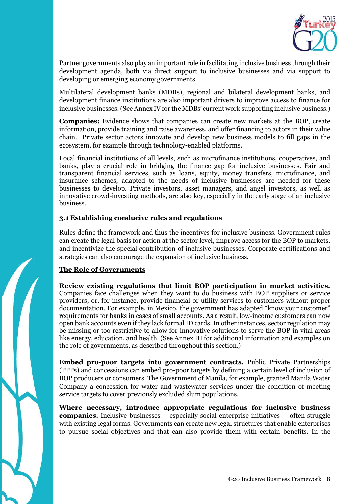

Partner governments also play an important role in facilitating inclusive business through their development agenda, both via direct support to inclusive businesses and via support to developing or emerging economy governments.

Multilateral development banks (MDBs), regional and bilateral development banks, and development finance institutions are also important drivers to improve access to finance for inclusive businesses. (See Annex IV for the MDBs' current work supporting inclusive business.)

**Companies:** Evidence shows that companies can create new markets at the BOP, create information, provide training and raise awareness, and offer financing to actors in their value chain. Private sector actors innovate and develop new business models to fill gaps in the ecosystem, for example through technology-enabled platforms.

Local financial institutions of all levels, such as microfinance institutions, cooperatives, and banks, play a crucial role in bridging the finance gap for inclusive businesses. Fair and transparent financial services, such as loans, equity, money transfers, microfinance, and insurance schemes, adapted to the needs of inclusive businesses are needed for these businesses to develop. Private investors, asset managers, and angel investors, as well as innovative crowd-investing methods, are also key, especially in the early stage of an inclusive business.

#### **3.1 Establishing conducive rules and regulations**

Rules define the framework and thus the incentives for inclusive business. Government rules can create the legal basis for action at the sector level, improve access for the BOP to markets, and incentivize the special contribution of inclusive businesses. Corporate certifications and strategies can also encourage the expansion of inclusive business.

## **The Role of Governments**

**Review existing regulations that limit BOP participation in market activities.**  Companies face challenges when they want to do business with BOP suppliers or service providers, or, for instance, provide financial or utility services to customers without proper documentation. For example, in Mexico, the government has adapted "know your customer" requirements for banks in cases of small accounts. As a result, low-income customers can now open bank accounts even if they lack formal ID cards. In other instances, sector regulation may

be missing or too restrictive to allow for innovative solutions to serve the BOP in vital areas like energy, education, and health. (See Annex III for additional information and examples on the role of governments, as described throughout this section.)

**Embed pro-poor targets into government contracts.** Public Private Partnerships (PPPs) and concessions can embed pro-poor targets by defining a certain level of inclusion of BOP producers or consumers. The Government of Manila, for example, granted Manila Water Company a concession for water and wastewater services under the condition of meeting service targets to cover previously excluded slum populations.

**Where necessary, introduce appropriate regulations for inclusive business companies.** Inclusive businesses – especially social enterprise initiatives -- often struggle with existing legal forms. Governments can create new legal structures that enable enterprises to pursue social objectives and that can also provide them with certain benefits. In the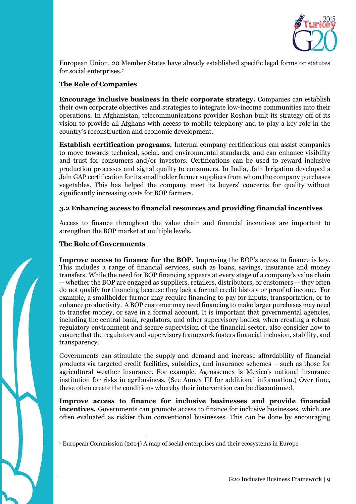

European Union, 20 Member States have already established specific legal forms or statutes for social enterprises.<sup>7</sup>

#### **The Role of Companies**

**Encourage inclusive business in their corporate strategy.** Companies can establish their own corporate objectives and strategies to integrate low-income communities into their operations. In Afghanistan, telecommunications provider Roshan built its strategy off of its vision to provide all Afghans with access to mobile telephony and to play a key role in the country's reconstruction and economic development.

**Establish certification programs.** Internal company certifications can assist companies to move towards technical, social, and environmental standards, and can enhance visibility and trust for consumers and/or investors. Certifications can be used to reward inclusive production processes and signal quality to consumers. In India, Jain Irrigation developed a Jain GAP certification for its smallholder farmer suppliers from whom the company purchases vegetables. This has helped the company meet its buyers' concerns for quality without significantly increasing costs for BOP farmers.

#### **3.2 Enhancing access to financial resources and providing financial incentives**

Access to finance throughout the value chain and financial incentives are important to strengthen the BOP market at multiple levels.

#### **The Role of Governments**

**Improve access to finance for the BOP.** Improving the BOP's access to finance is key. This includes a range of financial services, such as loans, savings, insurance and money transfers. While the need for BOP financing appears at every stage of a company's value chain -- whether the BOP are engaged as suppliers, retailers, distributors, or customers -- they often do not qualify for financing because they lack a formal credit history or proof of income. For example, a smallholder farmer may require financing to pay for inputs, transportation, or to enhance productivity. A BOP customer may need financing to make larger purchases may need to transfer money, or save in a formal account. It is important that governmental agencies, including the central bank, regulators, and other supervisory bodies, when creating a robust regulatory environment and secure supervision of the financial sector, also consider how to ensure that the regulatory and supervisory framework fosters financial inclusion, stability, and transparency.

Governments can stimulate the supply and demand and increase affordability of financial products via targeted credit facilities, subsidies, and insurance schemes – such as those for agricultural weather insurance. For example, Agroasemex is Mexico's national insurance institution for risks in agribusiness. (See Annex III for additional information.) Over time, these often create the conditions whereby their intervention can be discontinued.

**Improve access to finance for inclusive businesses and provide financial incentives***.* Governments can promote access to finance for inclusive businesses, which are often evaluated as riskier than conventional businesses. This can be done by encouraging

 $\overline{a}$ 

<sup>7</sup> European Commission (2014) A map of social enterprises and their ecosystems in Europe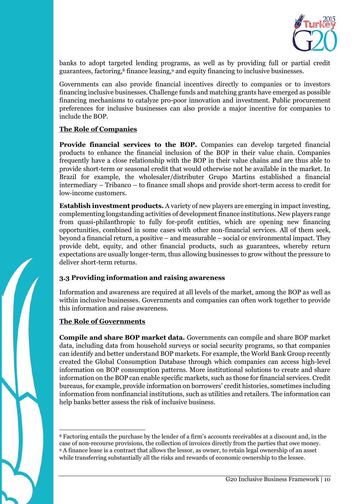

banks to adopt targeted lending programs, as well as by providing full or partial credit guarantees, factoring,<sup>8</sup> finance leasing,<sup>9</sup> and equity financing to inclusive businesses.

Governments can also provide financial incentives directly to companies or to investors financing inclusive businesses. Challenge funds and matching grants have emerged as possible financing mechanisms to catalyze pro-poor innovation and investment. Public procurement preferences for inclusive businesses can also provide a major incentive for companies to include the BOP.

#### **The Role of Companies**

**Provide financial services to the BOP.** Companies can develop targeted financial products to enhance the financial inclusion of the BOP in their value chain. Companies frequently have a close relationship with the BOP in their value chains and are thus able to provide short-term or seasonal credit that would otherwise not be available in the market. In Brazil for example, the wholesaler/distributer Grupo Martins established a financial intermediary – Tribanco – to finance small shops and provide short-term access to credit for low-income customers.

**Establish investment products.** A variety of new players are emerging in impact investing, complementing longstanding activities of development finance institutions. New players range from quasi-philanthropic to fully for-profit entities, which are opening new financing opportunities, combined in some cases with other non-financial services. All of them seek, beyond a financial return, a positive – and measurable – social or environmental impact. They provide debt, equity, and other financial products, such as guarantees, whereby return expectations are usually longer-term, thus allowing businesses to grow without the pressure to deliver short-term returns.

#### **3.3 Providing information and raising awareness**

Information and awareness are required at all levels of the market, among the BOP as well as within inclusive businesses. Governments and companies can often work together to provide this information and raise awareness.

#### **The Role of Governments**

**Compile and share BOP market data.** Governments can compile and share BOP market data, including data from household surveys or social security programs, so that companies can identify and better understand BOP markets. For example, the World Bank Group recently created the Global Consumption Database through which companies can access high-level information on BOP consumption patterns. More institutional solutions to create and share information on the BOP can enable specific markets, such as those for financial services. Credit bureaus, for example, provide information on borrowers' credit histories, sometimes including information from nonfinancial institutions, such as utilities and retailers. The information can help banks better assess the risk of inclusive business.

 $\overline{a}$ <sup>8</sup> Factoring entails the purchase by the lender of a firm's accounts receivables at a discount and, in the case of non-recourse provisions, the collection of invoices directly from the parties that owe money. <sup>9</sup> A finance lease is a contract that allows the lessor, as owner, to retain legal ownership of an asset while transferring substantially all the risks and rewards of economic ownership to the lessee.

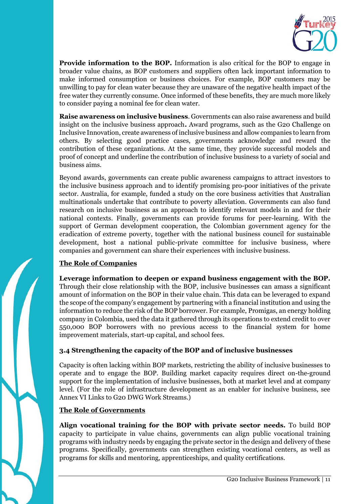

**Provide information to the BOP.** Information is also critical for the BOP to engage in broader value chains, as BOP customers and suppliers often lack important information to make informed consumption or business choices. For example, BOP customers may be unwilling to pay for clean water because they are unaware of the negative health impact of the free water they currently consume. Once informed of these benefits, they are much more likely to consider paying a nominal fee for clean water.

**Raise awareness on inclusive business**. Governments can also raise awareness and build insight on the inclusive business approach. Award programs, such as the G20 Challenge on Inclusive Innovation, create awareness of inclusive business and allow companies to learn from others. By selecting good practice cases, governments acknowledge and reward the contribution of these organizations. At the same time, they provide successful models and proof of concept and underline the contribution of inclusive business to a variety of social and business aims.

Beyond awards, governments can create public awareness campaigns to attract investors to the inclusive business approach and to identify promising pro-poor initiatives of the private sector. Australia, for example, funded a study on the core business activities that Australian multinationals undertake that contribute to poverty alleviation. Governments can also fund research on inclusive business as an approach to identify relevant models in and for their national contexts. Finally, governments can provide forums for peer-learning. With the support of German development cooperation, the Colombian government agency for the eradication of extreme poverty, together with the national business council for sustainable development, host a national public-private committee for inclusive business, where companies and government can share their experiences with inclusive business.

## **The Role of Companies**

## **Leverage information to deepen or expand business engagement with the BOP.**

Through their close relationship with the BOP, inclusive businesses can amass a significant amount of information on the BOP in their value chain. This data can be leveraged to expand the scope of the company's engagement by partnering with a financial institution and using the information to reduce the risk of the BOP borrower. For example, Promigas, an energy holding company in Colombia, used the data it gathered through its operations to extend credit to over 550,000 BOP borrowers with no previous access to the financial system for home improvement materials, start-up capital, and school fees.

## **3.4 Strengthening the capacity of the BOP and of inclusive businesses**

Capacity is often lacking within BOP markets, restricting the ability of inclusive businesses to operate and to engage the BOP. Building market capacity requires direct on-the-ground support for the implementation of inclusive businesses, both at market level and at company level. (For the role of infrastructure development as an enabler for inclusive business, see Annex VI Links to G20 DWG Work Streams.)

#### **The Role of Governments**

**Align vocational training for the BOP with private sector needs.** To build BOP capacity to participate in value chains, governments can align public vocational training programs with industry needs by engaging the private sector in the design and delivery of these programs. Specifically, governments can strengthen existing vocational centers, as well as programs for skills and mentoring, apprenticeships, and quality certifications.

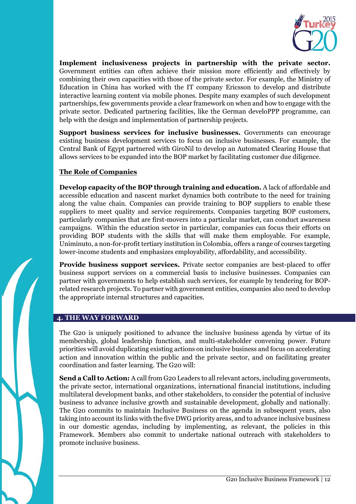

**Implement inclusiveness projects in partnership with the private sector.**  Government entities can often achieve their mission more efficiently and effectively by combining their own capacities with those of the private sector. For example, the Ministry of Education in China has worked with the IT company Ericsson to develop and distribute interactive learning content via mobile phones. Despite many examples of such development partnerships, few governments provide a clear framework on when and how to engage with the private sector. Dedicated partnering facilities, like the German develoPPP programme, can help with the design and implementation of partnership projects.

**Support business services for inclusive businesses.** Governments can encourage existing business development services to focus on inclusive businesses. For example, the Central Bank of Egypt partnered with GiroNil to develop an Automated Clearing House that allows services to be expanded into the BOP market by facilitating customer due diligence.

#### **The Role of Companies**

**Develop capacity of the BOP through training and education.** A lack of affordable and accessible education and nascent market dynamics both contribute to the need for training along the value chain. Companies can provide training to BOP suppliers to enable these suppliers to meet quality and service requirements. Companies targeting BOP customers, particularly companies that are first-movers into a particular market, can conduct awareness campaigns. Within the education sector in particular, companies can focus their efforts on providing BOP students with the skills that will make them employable. For example, Uniminuto, a non-for-profit tertiary institution in Colombia, offers a range of courses targeting lower-income students and emphasizes employability, affordability, and accessibility.

**Provide business support services.** Private sector companies are best-placed to offer business support services on a commercial basis to inclusive businesses. Companies can partner with governments to help establish such services, for example by tendering for BOPrelated research projects. To partner with government entities, companies also need to develop the appropriate internal structures and capacities.

#### **4. THE WAY FORWARD**

The G20 is uniquely positioned to advance the inclusive business agenda by virtue of its membership, global leadership function, and multi-stakeholder convening power. Future priorities will avoid duplicating existing actions on inclusive business and focus on accelerating action and innovation within the public and the private sector, and on facilitating greater coordination and faster learning. The G20 will:

**Send a Call to Action:** A call from G20 Leaders to all relevant actors, including governments, the private sector, international organizations, international financial institutions, including multilateral development banks, and other stakeholders, to consider the potential of inclusive business to advance inclusive growth and sustainable development, globally and nationally. The G20 commits to maintain Inclusive Business on the agenda in subsequent years, also taking into account its links with the five DWG priority areas, and to advance inclusive business in our domestic agendas, including by implementing, as relevant, the policies in this Framework. Members also commit to undertake national outreach with stakeholders to promote inclusive business.